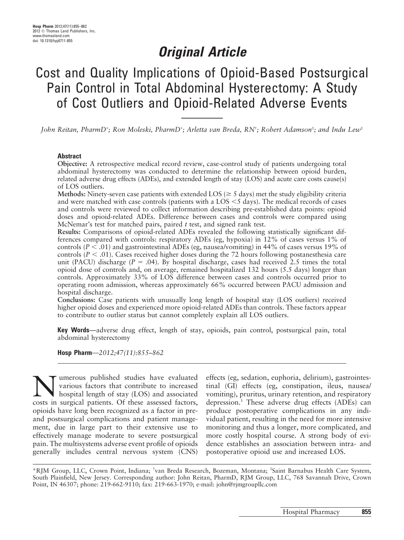# Original Article

# Cost and Quality Implications of Opioid-Based Postsurgical Pain Control in Total Abdominal Hysterectomy: A Study of Cost Outliers and Opioid-Related Adverse Events

John Reitan, PharmD\*; Ron Moleski, PharmD\*; Arletta van Breda, RN<sup>†</sup>; Robert Adamson<sup>‡</sup>; and Indu Lew<sup>‡</sup>

#### Abstract

Objective: A retrospective medical record review, case-control study of patients undergoing total abdominal hysterectomy was conducted to determine the relationship between opioid burden, related adverse drug effects (ADEs), and extended length of stay (LOS) and acute care costs cause(s) of LOS outliers.

Methods: Ninety-seven case patients with extended LOS ( $\geq$  5 days) met the study eligibility criteria and were matched with case controls (patients with a LOS  $\leq$  5 days). The medical records of cases and controls were reviewed to collect information describing pre-established data points: opioid doses and opioid-related ADEs. Difference between cases and controls were compared using McNemar's test for matched pairs, paired  $t$  test, and signed rank test.

Results: Comparisons of opioid-related ADEs revealed the following statistically significant differences compared with controls: respiratory ADEs (eg, hypoxia) in 12% of cases versus 1% of controls ( $P < .01$ ) and gastrointestinal ADEs (eg, nausea/vomiting) in 44% of cases versus 19% of controls ( $P < .01$ ). Cases received higher doses during the 72 hours following postanesthesia care unit (PACU) discharge ( $P = .04$ ). By hospital discharge, cases had received 2.5 times the total opioid dose of controls and, on average, remained hospitalized 132 hours (5.5 days) longer than controls. Approximately 33% of LOS difference between cases and controls occurred prior to operating room admission, whereas approximately 66% occurred between PACU admission and hospital discharge.

Conclusions: Case patients with unusually long length of hospital stay (LOS outliers) received higher opioid doses and experienced more opioid-related ADEs than controls. These factors appear to contribute to outlier status but cannot completely explain all LOS outliers.

Key Words—adverse drug effect, length of stay, opioids, pain control, postsurgical pain, total abdominal hysterectomy

Hosp Pharm—2012;47(11):855–862

**NUME ANUME STAND MANUM**<br>
Marious factors that contribute to increased<br>
hospital length of stay (LOS) and associated<br>
costs in surgical patients. Of these assessed factors various factors that contribute to increased costs in surgical patients. Of these assessed factors, opioids have long been recognized as a factor in preand postsurgical complications and patient management, due in large part to their extensive use to effectively manage moderate to severe postsurgical pain. The multisystems adverse event profile of opioids generally includes central nervous system (CNS) effects (eg, sedation, euphoria, delirium), gastrointestinal (GI) effects (eg, constipation, ileus, nausea/ vomiting), pruritus, urinary retention, and respiratory depression.<sup>1</sup> These adverse drug effects (ADEs) can produce postoperative complications in any individual patient, resulting in the need for more intensive monitoring and thus a longer, more complicated, and more costly hospital course. A strong body of evidence establishes an association between intra- and postoperative opioid use and increased LOS.

\*RJM Group, LLC, Crown Point, Indiana; † van Breda Research, Bozeman, Montana; ‡ Saint Barnabus Health Care System, South Plainfield, New Jersey. Corresponding author: John Reitan, PharmD, RJM Group, LLC, 768 Savannah Drive, Crown Point, IN 46307; phone: 219-662-9110; fax: 219-663-1970; e-mail: john@rjmgroupllc.com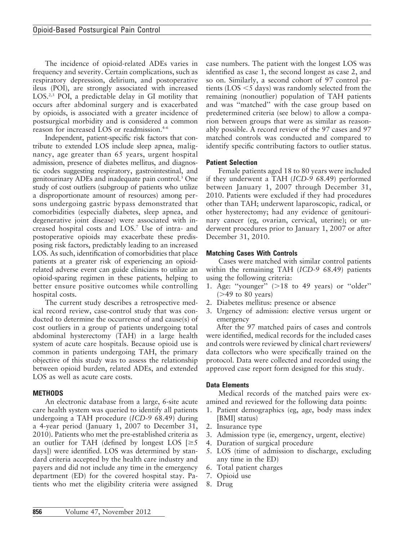The incidence of opioid-related ADEs varies in frequency and severity. Certain complications, such as respiratory depression, delirium, and postoperative ileus (POI), are strongly associated with increased LOS.<sup>2,3</sup> POI, a predictable delay in GI motility that occurs after abdominal surgery and is exacerbated by opioids, is associated with a greater incidence of postsurgical morbidity and is considered a common reason for increased LOS or readmission.4-6

Independent, patient-specific risk factors that contribute to extended LOS include sleep apnea, malignancy, age greater than 65 years, urgent hospital admission, presence of diabetes mellitus, and diagnostic codes suggesting respiratory, gastrointestinal, and genitourinary ADEs and inadequate pain control.3 One study of cost outliers (subgroup of patients who utilize a disproportionate amount of resources) among persons undergoing gastric bypass demonstrated that comorbidities (especially diabetes, sleep apnea, and degenerative joint disease) were associated with increased hospital costs and LOS.7 Use of intra- and postoperative opioids may exacerbate these predisposing risk factors, predictably leading to an increased LOS. As such, identification of comorbidities that place patients at a greater risk of experiencing an opioidrelated adverse event can guide clinicians to utilize an opioid-sparing regimen in these patients, helping to better ensure positive outcomes while controlling hospital costs.

The current study describes a retrospective medical record review, case-control study that was conducted to determine the occurrence of and cause(s) of cost outliers in a group of patients undergoing total abdominal hysterectomy (TAH) in a large health system of acute care hospitals. Because opioid use is common in patients undergoing TAH, the primary objective of this study was to assess the relationship between opioid burden, related ADEs, and extended LOS as well as acute care costs.

## **METHODS**

An electronic database from a large, 6-site acute care health system was queried to identify all patients undergoing a TAH procedure (ICD-9 68.49) during a 4-year period (January 1, 2007 to December 31, 2010). Patients who met the pre-established criteria as an outlier for TAH (defined by longest LOS  $\geq 5$ days]) were identified. LOS was determined by standard criteria accepted by the health care industry and payers and did not include any time in the emergency department (ED) for the covered hospital stay. Patients who met the eligibility criteria were assigned case numbers. The patient with the longest LOS was identified as case 1, the second longest as case 2, and so on. Similarly, a second cohort of 97 control patients ( $\text{LOS} < 5$  days) was randomly selected from the remaining (nonoutlier) population of TAH patients and was ''matched'' with the case group based on predetermined criteria (see below) to allow a comparion between groups that were as similar as reasonably possible. A record review of the 97 cases and 97 matched controls was conducted and compared to identify specific contributing factors to outlier status.

## Patient Selection

Female patients aged 18 to 80 years were included if they underwent a TAH (ICD-9 68.49) performed between January 1, 2007 through December 31, 2010. Patients were excluded if they had procedures other than TAH; underwent laparoscopic, radical, or other hysterectomy; had any evidence of genitourinary cancer (eg, ovarian, cervical, uterine); or underwent procedures prior to January 1, 2007 or after December 31, 2010.

## Matching Cases With Controls

Cases were matched with similar control patients within the remaining TAH (ICD-9 68.49) patients using the following criteria:

- 1. Age: "younger"  $(>18$  to 49 years) or "older"  $($ >49 to 80 years)
- 2. Diabetes mellitus: presence or absence
- 3. Urgency of admission: elective versus urgent or emergency

After the 97 matched pairs of cases and controls were identified, medical records for the included cases and controls were reviewed by clinical chart reviewers/ data collectors who were specifically trained on the protocol. Data were collected and recorded using the approved case report form designed for this study.

### Data Elements

Medical records of the matched pairs were examined and reviewed for the following data points:

- 1. Patient demographics (eg, age, body mass index [BMI] status)
- 2. Insurance type
- 3. Admission type (ie, emergency, urgent, elective)
- 4. Duration of surgical procedure
- 5. LOS (time of admission to discharge, excluding any time in the ED)
- 6. Total patient charges
- 7. Opioid use
- 8. Drug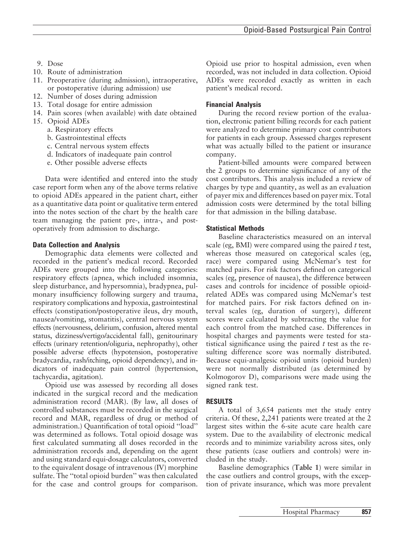- 9. Dose
- 10. Route of administration
- 11. Preoperative (during admission), intraoperative, or postoperative (during admission) use
- 12. Number of doses during admission
- 13. Total dosage for entire admission
- 14. Pain scores (when available) with date obtained
- 15. Opioid ADEs
	- a. Respiratory effects
	- b. Gastrointestinal effects
	- c. Central nervous system effects
	- d. Indicators of inadequate pain control
	- e. Other possible adverse effects

Data were identified and entered into the study case report form when any of the above terms relative to opioid ADEs appeared in the patient chart, either as a quantitative data point or qualitative term entered into the notes section of the chart by the health care team managing the patient pre-, intra-, and postoperatively from admission to discharge.

### Data Collection and Analysis

Demographic data elements were collected and recorded in the patient's medical record. Recorded ADEs were grouped into the following categories: respiratory effects (apnea, which included insomnia, sleep disturbance, and hypersomnia), bradypnea, pulmonary insufficiency following surgery and trauma, respiratory complications and hypoxia, gastrointestinal effects (constipation/postoperative ileus, dry mouth, nausea/vomiting, stomatitis), central nervous system effects (nervousness, delirium, confusion, altered mental status, dizziness/vertigo/accidental fall), genitourinary effects (urinary retention/oliguria, nephropathy), other possible adverse effects (hypotension, postoperative bradycardia, rash/itching, opioid dependency), and indicators of inadequate pain control (hypertension, tachycardia, agitation).

Opioid use was assessed by recording all doses indicated in the surgical record and the medication administration record (MAR). (By law, all doses of controlled substances must be recorded in the surgical record and MAR, regardless of drug or method of administration.) Quantification of total opioid ''load'' was determined as follows. Total opioid dosage was first calculated summating all doses recorded in the administration records and, depending on the agent and using standard equi-dosage calculators, converted to the equivalent dosage of intravenous (IV) morphine sulfate. The ''total opioid burden'' was then calculated for the case and control groups for comparison.

Opioid use prior to hospital admission, even when recorded, was not included in data collection. Opioid ADEs were recorded exactly as written in each patient's medical record.

## Financial Analysis

During the record review portion of the evaluation, electronic patient billing records for each patient were analyzed to determine primary cost contributors for patients in each group. Assessed charges represent what was actually billed to the patient or insurance company.

Patient-billed amounts were compared between the 2 groups to determine significance of any of the cost contributors. This analysis included a review of charges by type and quantity, as well as an evaluation of payer mix and differences based on payer mix. Total admission costs were determined by the total billing for that admission in the billing database.

## Statistical Methods

Baseline characteristics measured on an interval scale (eg, BMI) were compared using the paired  $t$  test, whereas those measured on categorical scales (eg, race) were compared using McNemar's test for matched pairs. For risk factors defined on categorical scales (eg, presence of nausea), the difference between cases and controls for incidence of possible opioidrelated ADEs was compared using McNemar's test for matched pairs. For risk factors defined on interval scales (eg, duration of surgery), different scores were calculated by subtracting the value for each control from the matched case. Differences in hospital charges and payments were tested for statistical significance using the paired  $t$  test as the resulting difference score was normally distributed. Because equi-analgesic opioid units (opioid burden) were not normally distributed (as determined by Kolmogorov D), comparisons were made using the signed rank test.

## RESULTS

A total of 3,654 patients met the study entry criteria. Of these, 2,241 patients were treated at the 2 largest sites within the 6-site acute care health care system. Due to the availability of electronic medical records and to minimize variability across sites, only these patients (case outliers and controls) were included in the study.

Baseline demographics (Table 1) were similar in the case outliers and control groups, with the exception of private insurance, which was more prevalent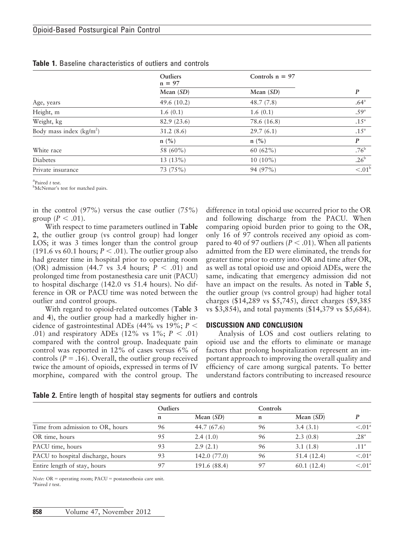|                           | <b>Outliers</b><br>$n = 97$ | Controls $n = 97$ |                  |
|---------------------------|-----------------------------|-------------------|------------------|
|                           | Mean $(SD)$                 | Mean $(SD)$       | $\boldsymbol{P}$ |
| Age, years                | 49.6 (10.2)                 | 48.7(7.8)         | .64 <sup>a</sup> |
| Height, m                 | 1.6(0.1)                    | 1.6(0.1)          | .59 <sup>a</sup> |
| Weight, kg                | 82.9 (23.6)                 | 78.6 (16.8)       | .15 <sup>a</sup> |
| Body mass index $(kg/m2)$ | 31.2(8.6)                   | 29.7(6.1)         | .15 <sup>a</sup> |
|                           | $n$ (%)                     | $n$ (%)           | P                |
| White race                | 58 (60%)                    | 60 $(62\%)$       | .76 <sup>b</sup> |
| Diabetes                  | 13(13%)                     | $10(10\%)$        | .26 <sup>b</sup> |
| Private insurance         | 73 (75%)                    | 94 (97%)          | $\overline{<}01$ |

Table 1. Baseline characteristics of outliers and controls

 ${}^{\text{a}}$ Paired t test.

McNemar's test for matched pairs.

in the control  $(97\%)$  versus the case outlier  $(75\%)$ group  $(P < .01)$ .

With respect to time parameters outlined in Table 2, the outlier group (vs control group) had longer LOS; it was 3 times longer than the control group (191.6 vs 60.1 hours;  $P < .01$ ). The outlier group also had greater time in hospital prior to operating room (OR) admission (44.7 vs 3.4 hours;  $P < .01$ ) and prolonged time from postanesthesia care unit (PACU) to hospital discharge (142.0 vs 51.4 hours). No difference in OR or PACU time was noted between the outlier and control groups.

With regard to opioid-related outcomes (Table 3 and 4), the outlier group had a markedly higher incidence of gastrointestinal ADEs (44% vs 19%;  $P \leq$ .01) and respiratory ADEs (12% vs 1%;  $P < .01$ ) compared with the control group. Inadequate pain control was reported in 12% of cases versus 6% of controls ( $P = .16$ ). Overall, the outlier group received twice the amount of opioids, expressed in terms of IV morphine, compared with the control group. The difference in total opioid use occurred prior to the OR and following discharge from the PACU. When comparing opioid burden prior to going to the OR, only 16 of 97 controls received any opioid as compared to 40 of 97 outliers ( $P < .01$ ). When all patients admitted from the ED were eliminated, the trends for greater time prior to entry into OR and time after OR, as well as total opioid use and opioid ADEs, were the same, indicating that emergency admission did not have an impact on the results. As noted in Table 5, the outlier group (vs control group) had higher total charges (\$14,289 vs \$5,745), direct charges (\$9,385 vs \$3,854), and total payments (\$14,379 vs \$5,684).

#### DISCUSSION AND CONCLUSION

Analysis of LOS and cost outliers relating to opioid use and the efforts to eliminate or manage factors that prolong hospitalization represent an important approach to improving the overall quality and efficiency of care among surgical patents. To better understand factors contributing to increased resource

|  |  |  | Table 2. Entire length of hospital stay segments for outliers and controls |  |  |  |  |  |  |
|--|--|--|----------------------------------------------------------------------------|--|--|--|--|--|--|
|--|--|--|----------------------------------------------------------------------------|--|--|--|--|--|--|

|                                   | <b>Outliers</b> |              | Controls |             |                     |
|-----------------------------------|-----------------|--------------|----------|-------------|---------------------|
|                                   | n               | Mean $(SD)$  | n        | Mean $(SD)$ |                     |
| Time from admission to OR, hours  | 96              | 44.7 (67.6)  | 96       | 3.4(3.1)    | $< 0.01^{\circ}$    |
| OR time, hours                    | 95              | 2.4(1.0)     | 96       | 2.3(0.8)    | .28 <sup>a</sup>    |
| PACU time, hours                  | 93              | 2.9(2.1)     | 96       | 3.1(1.8)    | .11 <sup>a</sup>    |
| PACU to hospital discharge, hours | 93              | 142.0 (77.0) | 96       | 51.4(12.4)  | $\leq 0.01^{\circ}$ |
| Entire length of stay, hours      | 97              | 191.6 (88.4) | 97       | 60.1(12.4)  | $\leq 01^\circ$     |

 $Note: OR = operating room; PACU = postanesthesia care unit.$ <sup>a</sup>Paired t test.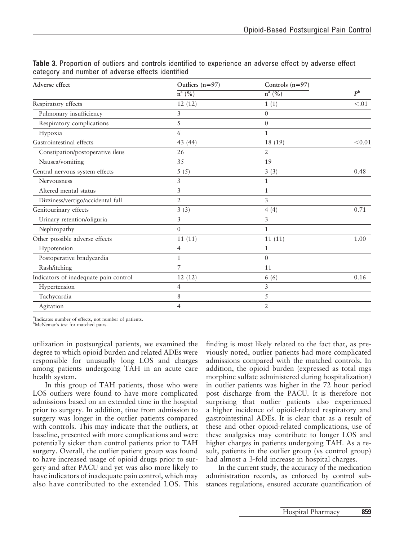| Adverse effect                        | Outliers $(n=97)$      | Controls $(n=97)$ |                |
|---------------------------------------|------------------------|-------------------|----------------|
|                                       | $\overline{n}^{a}$ (%) | $n^a$ (%)         | P <sup>b</sup> |
| Respiratory effects                   | 12(12)                 | 1(1)              | < 0.01         |
| Pulmonary insufficiency               | 3                      | $\mathbf{0}$      |                |
| Respiratory complications             | 5                      | $\theta$          |                |
| Hypoxia                               | 6                      | $\mathbf{1}$      |                |
| Gastrointestinal effects              | 43 (44)                | 18 (19)           | < 0.01         |
| Constipation/postoperative ileus      | 26                     | $\overline{2}$    |                |
| Nausea/vomiting                       | 35                     | 19                |                |
| Central nervous system effects        | 5(5)                   | 3(3)              | 0.48           |
| Nervousness                           | 3                      | 1                 |                |
| Altered mental status                 | 3                      | 1                 |                |
| Dizziness/vertigo/accidental fall     | $\overline{2}$         | 3                 |                |
| Genitourinary effects                 | 3(3)                   | 4(4)              | 0.71           |
| Urinary retention/oliguria            | 3                      | 3                 |                |
| Nephropathy                           | $\overline{0}$         | 1                 |                |
| Other possible adverse effects        | 11(11)                 | 11(11)            | 1.00           |
| Hypotension                           | $\overline{4}$         | 1                 |                |
| Postoperative bradycardia             | $\mathbf{1}$           | $\overline{0}$    |                |
| Rash/itching                          | 7                      | 11                |                |
| Indicators of inadequate pain control | 12(12)                 | 6(6)              | 0.16           |
| Hypertension                          | 4                      | 3                 |                |
| Tachycardia                           | 8                      | 5                 |                |
| Agitation                             | 4                      | $\overline{2}$    |                |

Table 3. Proportion of outliers and controls identified to experience an adverse effect by adverse effect category and number of adverse effects identified

<sup>a</sup>Indicates number of effects, not number of patients.

<sup>b</sup>McNemar's test for matched pairs.

utilization in postsurgical patients, we examined the degree to which opioid burden and related ADEs were responsible for unusually long LOS and charges among patients undergoing TAH in an acute care health system.

In this group of TAH patients, those who were LOS outliers were found to have more complicated admissions based on an extended time in the hospital prior to surgery. In addition, time from admission to surgery was longer in the outlier patients compared with controls. This may indicate that the outliers, at baseline, presented with more complications and were potentially sicker than control patients prior to TAH surgery. Overall, the outlier patient group was found to have increased usage of opioid drugs prior to surgery and after PACU and yet was also more likely to have indicators of inadequate pain control, which may also have contributed to the extended LOS. This

finding is most likely related to the fact that, as previously noted, outlier patients had more complicated admissions compared with the matched controls. In addition, the opioid burden (expressed as total mgs morphine sulfate administered during hospitalization) in outlier patients was higher in the 72 hour period post discharge from the PACU. It is therefore not surprising that outlier patients also experienced a higher incidence of opioid-related respiratory and gastrointestinal ADEs. It is clear that as a result of these and other opioid-related complications, use of these analgesics may contribute to longer LOS and higher charges in patients undergoing TAH. As a result, patients in the outlier group (vs control group) had almost a 3-fold increase in hospital charges.

In the current study, the accuracy of the medication administration records, as enforced by control substances regulations, ensured accurate quantification of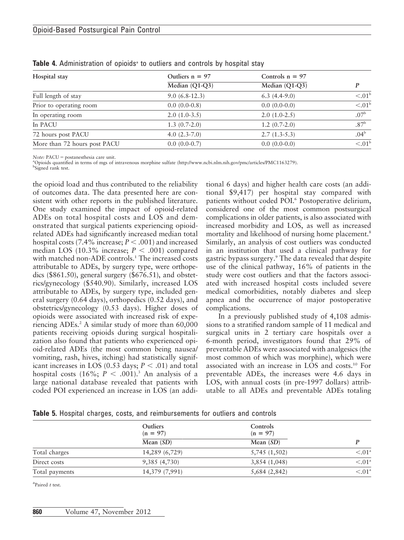| Hospital stay                | Outliers $n = 97$ | Controls $n = 97$ | P                   |
|------------------------------|-------------------|-------------------|---------------------|
|                              | $Median (Q1-Q3)$  | Median $(Q1-Q3)$  |                     |
| Full length of stay          | $9.0(6.8-12.3)$   | $6.3(4.4-9.0)$    | $\leq 0.01^{\rm b}$ |
| Prior to operating room      | $0.0(0.0-0.8)$    | $0.0(0.0-0.0)$    | $\leq 01^{\rm b}$   |
| In operating room            | $2.0(1.0-3.5)$    | $2.0(1.0-2.5)$    | .07 <sup>b</sup>    |
| In PACU                      | $1.3(0.7-2.0)$    | $1.2(0.7-2.0)$    | .87 <sup>b</sup>    |
| 72 hours post PACU           | 4.0 $(2.3 - 7.0)$ | $2.7(1.3-5.3)$    | .04 <sup>b</sup>    |
| More than 72 hours post PACU | $0.0(0.0-0.7)$    | $0.0(0.0-0.0)$    | < 0.01              |

Table 4. Administration of opioids<sup>®</sup> to outliers and controls by hospital stay

 $Note: PACU = postanesthesia care unit.$ 

Opioids quantified in terms of mgs of intravenous morphine sulfate (http://www.ncbi.nlm.nih.gov/pmc/articles/PMC1163279).

<sup>b</sup>Signed rank test.

the opioid load and thus contributed to the reliability of outcomes data. The data presented here are consistent with other reports in the published literature. One study examined the impact of opioid-related ADEs on total hospital costs and LOS and demonstrated that surgical patients experiencing opioidrelated ADEs had significantly increased median total hospital costs (7.4% increase;  $P < .001$ ) and increased median LOS (10.3% increase;  $P < .001$ ) compared with matched non-ADE controls.<sup>1</sup> The increased costs attributable to ADEs, by surgery type, were orthopedics (\$861.50), general surgery (\$676.51), and obstetrics/gynecology (\$540.90). Similarly, increased LOS attributable to ADEs, by surgery type, included general surgery (0.64 days), orthopedics (0.52 days), and obstetrics/gynecology (0.53 days). Higher doses of opioids were associated with increased risk of experiencing ADEs.<sup>2</sup> A similar study of more than 60,000 patients receiving opioids during surgical hospitalization also found that patients who experienced opioid-related ADEs (the most common being nausea/ vomiting, rash, hives, itching) had statistically significant increases in LOS (0.53 days;  $P < .01$ ) and total hospital costs (16%;  $P < .001$ ).<sup>3</sup> An analysis of a large national database revealed that patients with coded POI experienced an increase in LOS (an additional 6 days) and higher health care costs (an additional \$9,417) per hospital stay compared with patients without coded POI.<sup>6</sup> Postoperative delirium, considered one of the most common postsurgical complications in older patients, is also associated with increased morbidity and LOS, as well as increased mortality and likelihood of nursing home placement.<sup>8</sup> Similarly, an analysis of cost outliers was conducted in an institution that used a clinical pathway for gastric bypass surgery.9 The data revealed that despite use of the clinical pathway, 16% of patients in the study were cost outliers and that the factors associated with increased hospital costs included severe medical comorbidities, notably diabetes and sleep apnea and the occurrence of major postoperative complications.

In a previously published study of 4,108 admissions to a stratified random sample of 11 medical and surgical units in 2 tertiary care hospitals over a 6-month period, investigators found that 29% of preventable ADEs were associated with analgesics (the most common of which was morphine), which were associated with an increase in LOS and costs.10 For preventable ADEs, the increases were 4.6 days in LOS, with annual costs (in pre-1997 dollars) attributable to all ADEs and preventable ADEs totaling

Table 5. Hospital charges, costs, and reimbursements for outliers and controls

|                | <b>Outliers</b><br>$(n = 97)$ | Controls<br>$(n = 97)$ |                       |
|----------------|-------------------------------|------------------------|-----------------------|
|                | Mean $(SD)$                   | Mean $(SD)$            |                       |
| Total charges  | 14,289 (6,729)                | 5,745 (1,502)          | $\leq 01^{\circ}$     |
| Direct costs   | 9,385(4,730)                  | 3,854(1,048)           | $< 0.01$ <sup>a</sup> |
| Total payments | 14,379 (7,991)                | 5,684(2,842)           | $< 0.01$ <sup>a</sup> |

 ${}^{a}$ Paired  $t$  test.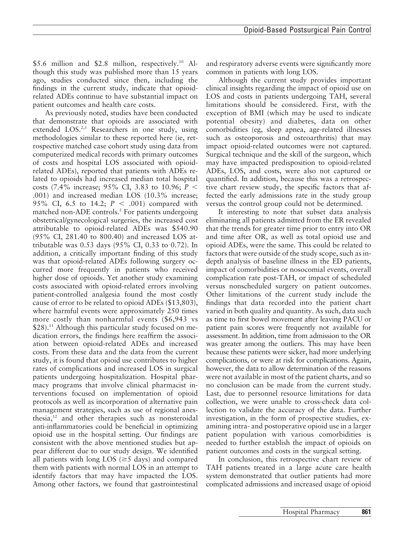Hospital Pharmacy 861

\$5.6 million and \$2.8 million, respectively.<sup>10</sup> Although this study was published more than 15 years ago, studies conducted since then, including the findings in the current study, indicate that opioidrelated ADEs continue to have substantial impact on patient outcomes and health care costs.

As previously noted, studies have been conducted that demonstrate that opioids are associated with extended LOS.<sup>2,3</sup> Researchers in one study, using methodologies similar to these reported here (ie, retrospective matched case cohort study using data from computerized medical records with primary outcomes of costs and hospital LOS associated with opioidrelated ADEs), reported that patients with ADEs related to opioids had increased median total hospital costs (7.4% increase; 95% CI, 3.83 to 10.96;  $P <$ .001) and increased median LOS (10.3% increase; 95% CI, 6.5 to 14.2;  $P < .001$ ) compared with matched non-ADE controls.2 For patients undergoing obstetrical/gynecological surgeries, the increased cost attributable to opioid-related ADEs was \$540.90 (95% CI, 281.40 to 800.40) and increased LOS attributable was 0.53 days (95% CI, 0.33 to 0.72). In addition, a critically important finding of this study was that opioid-related ADEs following surgery occurred more frequently in patients who received higher dose of opioids. Yet another study examining costs associated with opioid-related errors involving patient-controlled analgesia found the most costly cause of error to be related to opioid ADEs (\$13,803), where harmful events were approximately 250 times more costly than nonharmful events (\$6,943 vs  $$28$ ).<sup>11</sup> Although this particular study focused on medication errors, the findings here reaffirm the association between opioid-related ADEs and increased costs. From these data and the data from the current study, it is found that opioid use contributes to higher rates of complications and increased LOS in surgical patients undergoing hospitalization. Hospital pharmacy programs that involve clinical pharmacist interventions focused on implementation of opioid protocols as well as incorporation of alternative pain management strategies, such as use of regional anesthesia, $12$  and other therapies such as nonsteroidal anti-inflammatories could be beneficial in optimizing opioid use in the hospital setting. Our findings are consistent with the above mentioned studies but appear different due to our study design. We identified all patients with long LOS ( $\geq$ 5 days) and compared them with patients with normal LOS in an attempt to identify factors that may have impacted the LOS. Among other factors, we found that gastrointestinal

and respiratory adverse events were significantly more common in patients with long LOS.

Although the current study provides important clinical insights regarding the impact of opioid use on LOS and costs in patients undergoing TAH, several limitations should be considered. First, with the exception of BMI (which may be used to indicate potential obesity) and diabetes, data on other comorbidities (eg, sleep apnea, age-related illnesses such as osteoporosis and osteoarthritis) that may impact opioid-related outcomes were not captured. Surgical technique and the skill of the surgeon, which may have impacted predisposition to opioid-related ADEs, LOS, and costs, were also not captured or quantified. In addition, because this was a retrospective chart review study, the specific factors that affected the early admissions rate in the study group versus the control group could not be determined.

It interesting to note that subset data analysis eliminating all patients admitted from the ER revealed that the trends for greater time prior to entry into OR and time after OR, as well as total opioid use and opioid ADEs, were the same. This could be related to factors that were outside of the study scope, such as indepth analysis of baseline illness in the ED patients, impact of comorbidities or nosocomial events, overall complication rate post-TAH, or impact of scheduled versus nonscheduled surgery on patient outcomes. Other limitations of the current study include the findings that data recorded into the patient chart varied in both quality and quantity. As such, data such as time to first bowel movement after leaving PACU or patient pain scores were frequently not available for assessment. In addition, time from admission to the OR was greater among the outliers. This may have been because these patients were sicker, had more underlying complications, or were at risk for complications. Again, however, the data to allow determination of the reasons were not available in most of the patient charts, and so no conclusion can be made from the current study. Last, due to personnel resource limitations for data collection, we were unable to cross-check data collection to validate the accuracy of the data. Further investigation, in the form of prospective studies, examining intra- and postoperative opioid use in a larger patient population with various comorbidities is needed to further establish the impact of opioids on patient outcomes and costs in the surgical setting.

In conclusion, this retrospective chart review of TAH patients treated in a large acute care health system demonstrated that outlier patients had more complicated admissions and increased usage of opioid